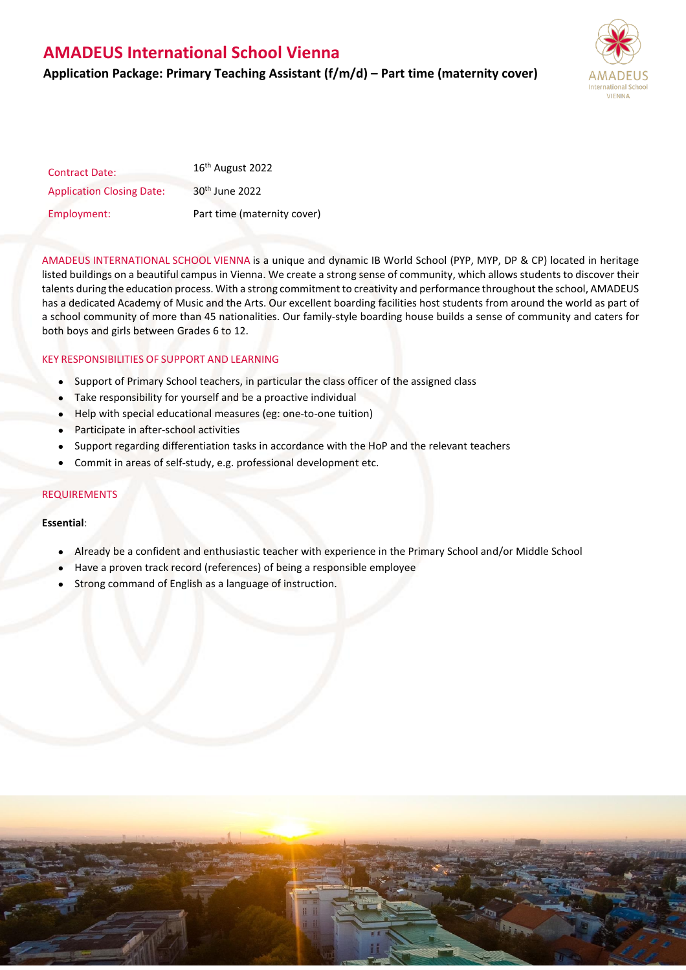## **AMADEUS International School Vienna**

## **Application Package: Primary Teaching Assistant (f/m/d) – Part time (maternity cover)**



| <b>Contract Date:</b>            | 16 <sup>th</sup> August 2022 |
|----------------------------------|------------------------------|
| <b>Application Closing Date:</b> | 30 <sup>th</sup> June 2022   |
| Employment:                      | Part time (maternity cover)  |

AMADEUS INTERNATIONAL SCHOOL VIENNA is a unique and dynamic IB World School (PYP, MYP, DP & CP) located in heritage listed buildings on a beautiful campus in Vienna. We create a strong sense of community, which allows students to discover their talents during the education process. With a strong commitment to creativity and performance throughout the school, AMADEUS has a dedicated Academy of Music and the Arts. Our excellent boarding facilities host students from around the world as part of a school community of more than 45 nationalities. Our family-style boarding house builds a sense of community and caters for both boys and girls between Grades 6 to 12.

## KEY RESPONSIBILITIES OF SUPPORT AND LEARNING

- Support of Primary School teachers, in particular the class officer of the assigned class
- Take responsibility for yourself and be a proactive individual
- Help with special educational measures (eg: one-to-one tuition)
- Participate in after-school activities
- Support regarding differentiation tasks in accordance with the HoP and the relevant teachers
- Commit in areas of self-study, e.g. professional development etc.

### REQUIREMENTS

#### **Essential**:

- Already be a confident and enthusiastic teacher with experience in the Primary School and/or Middle School
- Have a proven track record (references) of being a responsible employee
- Strong command of English as a language of instruction.